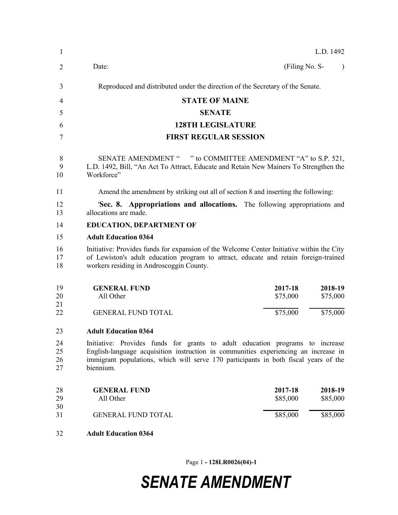| 1                    | L.D. 1492                                                                                                                                                                                                                                                                 |
|----------------------|---------------------------------------------------------------------------------------------------------------------------------------------------------------------------------------------------------------------------------------------------------------------------|
| 2                    | (Filing No. S-<br>Date:                                                                                                                                                                                                                                                   |
| 3                    | Reproduced and distributed under the direction of the Secretary of the Senate.                                                                                                                                                                                            |
| $\overline{4}$       | <b>STATE OF MAINE</b>                                                                                                                                                                                                                                                     |
| 5                    | <b>SENATE</b>                                                                                                                                                                                                                                                             |
| 6                    | <b>128TH LEGISLATURE</b>                                                                                                                                                                                                                                                  |
| 7                    | <b>FIRST REGULAR SESSION</b>                                                                                                                                                                                                                                              |
| 8<br>9<br>10         | SENATE AMENDMENT " " to COMMITTEE AMENDMENT "A" to S.P. 521,<br>L.D. 1492, Bill, "An Act To Attract, Educate and Retain New Mainers To Strengthen the<br>Workforce"                                                                                                       |
| 11                   | Amend the amendment by striking out all of section 8 and inserting the following:                                                                                                                                                                                         |
| 12<br>13             | <b>Sec. 8. Appropriations and allocations.</b> The following appropriations and<br>allocations are made.                                                                                                                                                                  |
| 14                   | <b>EDUCATION, DEPARTMENT OF</b>                                                                                                                                                                                                                                           |
| 15                   | <b>Adult Education 0364</b>                                                                                                                                                                                                                                               |
| 16<br>17<br>18       | Initiative: Provides funds for expansion of the Welcome Center Initiative within the City<br>of Lewiston's adult education program to attract, educate and retain foreign-trained<br>workers residing in Androscoggin County.                                             |
| 19<br>20<br>21       | <b>GENERAL FUND</b><br>2017-18<br>2018-19<br>All Other<br>\$75,000<br>\$75,000                                                                                                                                                                                            |
| 22                   | \$75,000<br>\$75,000<br><b>GENERAL FUND TOTAL</b>                                                                                                                                                                                                                         |
| 23                   | <b>Adult Education 0364</b>                                                                                                                                                                                                                                               |
| 24<br>25<br>26<br>27 | Initiative: Provides funds for grants to adult education programs to increase<br>English-language acquisition instruction in communities experiencing an increase in<br>immigrant populations, which will serve 170 participants in both fiscal years of the<br>biennium. |
| 28<br>29<br>30       | 2017-18<br>2018-19<br><b>GENERAL FUND</b><br>\$85,000<br>All Other<br>\$85,000                                                                                                                                                                                            |
| 31                   | \$85,000<br>\$85,000<br><b>GENERAL FUND TOTAL</b>                                                                                                                                                                                                                         |
| 32                   | <b>Adult Education 0364</b>                                                                                                                                                                                                                                               |

Page 1 **- 128LR0026(04)-1**

# *SENATE AMENDMENT*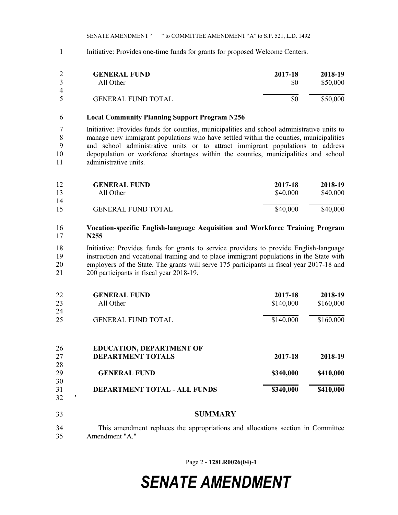SENATE AMENDMENT " " to COMMITTEE AMENDMENT "A" to S.P. 521, L.D. 1492

Initiative: Provides one-time funds for grants for proposed Welcome Centers.

|             | <b>GENERAL FUND</b>       | 2017-18 | 2018-19  |
|-------------|---------------------------|---------|----------|
|             | All Other                 | \$0     | \$50,000 |
| 4           |                           |         |          |
| $\varsigma$ | <b>GENERAL FUND TOTAL</b> | \$0     | \$50,000 |

### **Local Community Planning Support Program N256**

 Initiative: Provides funds for counties, municipalities and school administrative units to manage new immigrant populations who have settled within the counties, municipalities and school administrative units or to attract immigrant populations to address depopulation or workforce shortages within the counties, municipalities and school administrative units.

| 12 | <b>GENERAL FUND</b>       | 2017-18  | 2018-19  |
|----|---------------------------|----------|----------|
| 13 | All Other                 | \$40,000 | \$40,000 |
| 14 |                           |          |          |
| 15 | <b>GENERAL FUND TOTAL</b> | \$40,000 | \$40,000 |

### **Vocation-specific English-language Acquisition and Workforce Training Program N255**

 Initiative: Provides funds for grants to service providers to provide English-language instruction and vocational training and to place immigrant populations in the State with 20 employers of the State. The grants will serve 175 participants in fiscal year 2017-18 and 200 participants in fiscal year 2018-19.

| 22 | <b>GENERAL FUND</b>                 | 2017-18   | 2018-19   |
|----|-------------------------------------|-----------|-----------|
| 23 | All Other                           | \$140,000 | \$160,000 |
| 24 |                                     |           |           |
| 25 | <b>GENERAL FUND TOTAL</b>           | \$140,000 | \$160,000 |
| 26 | <b>EDUCATION, DEPARTMENT OF</b>     |           |           |
| 27 | <b>DEPARTMENT TOTALS</b>            | 2017-18   | 2018-19   |
| 28 |                                     |           |           |
| 29 | <b>GENERAL FUND</b>                 | \$340,000 | \$410,000 |
| 30 |                                     |           |           |
| 31 | <b>DEPARTMENT TOTAL - ALL FUNDS</b> | \$340,000 | \$410,000 |

#### **SUMMARY**

 $32'$ 

 This amendment replaces the appropriations and allocations section in Committee Amendment "A."

Page 2 **- 128LR0026(04)-1**

## *SENATE AMENDMENT*